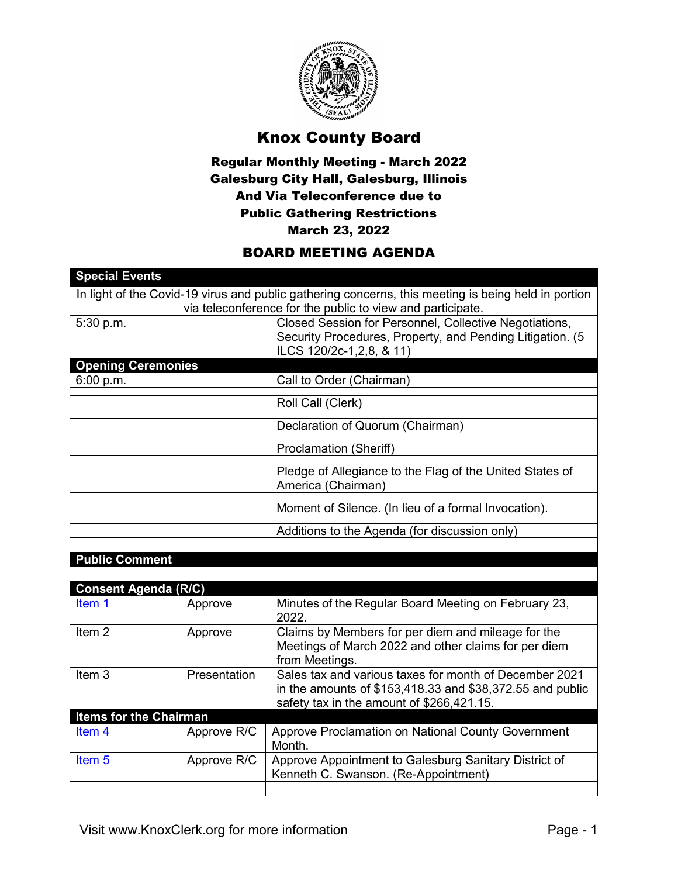

## Knox County Board

## Regular Monthly Meeting - March 2022 Galesburg City Hall, Galesburg, Illinois And Via Teleconference due to Public Gathering Restrictions March 23, 2022

## BOARD MEETING AGENDA

| <b>Special Events</b>                                                                               |              |                                                            |  |  |
|-----------------------------------------------------------------------------------------------------|--------------|------------------------------------------------------------|--|--|
| In light of the Covid-19 virus and public gathering concerns, this meeting is being held in portion |              |                                                            |  |  |
|                                                                                                     |              | via teleconference for the public to view and participate. |  |  |
| 5:30 p.m.                                                                                           |              | Closed Session for Personnel, Collective Negotiations,     |  |  |
|                                                                                                     |              | Security Procedures, Property, and Pending Litigation. (5  |  |  |
|                                                                                                     |              | ILCS 120/2c-1,2,8, & 11)                                   |  |  |
| <b>Opening Ceremonies</b>                                                                           |              |                                                            |  |  |
| 6:00 p.m.                                                                                           |              | Call to Order (Chairman)                                   |  |  |
|                                                                                                     |              | Roll Call (Clerk)                                          |  |  |
|                                                                                                     |              | Declaration of Quorum (Chairman)                           |  |  |
|                                                                                                     |              | Proclamation (Sheriff)                                     |  |  |
|                                                                                                     |              | Pledge of Allegiance to the Flag of the United States of   |  |  |
|                                                                                                     |              | America (Chairman)                                         |  |  |
|                                                                                                     |              |                                                            |  |  |
|                                                                                                     |              | Moment of Silence. (In lieu of a formal Invocation).       |  |  |
|                                                                                                     |              | Additions to the Agenda (for discussion only)              |  |  |
|                                                                                                     |              |                                                            |  |  |
| <b>Public Comment</b>                                                                               |              |                                                            |  |  |
|                                                                                                     |              |                                                            |  |  |
| <b>Consent Agenda (R/C)</b>                                                                         |              |                                                            |  |  |
| Item 1                                                                                              | Approve      | Minutes of the Regular Board Meeting on February 23,       |  |  |
|                                                                                                     |              | 2022.                                                      |  |  |
| Item <sub>2</sub>                                                                                   | Approve      | Claims by Members for per diem and mileage for the         |  |  |
|                                                                                                     |              | Meetings of March 2022 and other claims for per diem       |  |  |
|                                                                                                     |              | from Meetings.                                             |  |  |
| Item <sub>3</sub>                                                                                   | Presentation | Sales tax and various taxes for month of December 2021     |  |  |
|                                                                                                     |              | in the amounts of \$153,418.33 and \$38,372.55 and public  |  |  |
|                                                                                                     |              | safety tax in the amount of \$266,421.15.                  |  |  |
| <b>Items for the Chairman</b>                                                                       |              |                                                            |  |  |
| Item <sub>4</sub>                                                                                   | Approve R/C  | Approve Proclamation on National County Government         |  |  |
|                                                                                                     |              | Month.                                                     |  |  |
| Item <sub>5</sub>                                                                                   | Approve R/C  | Approve Appointment to Galesburg Sanitary District of      |  |  |
|                                                                                                     |              | Kenneth C. Swanson. (Re-Appointment)                       |  |  |
|                                                                                                     |              |                                                            |  |  |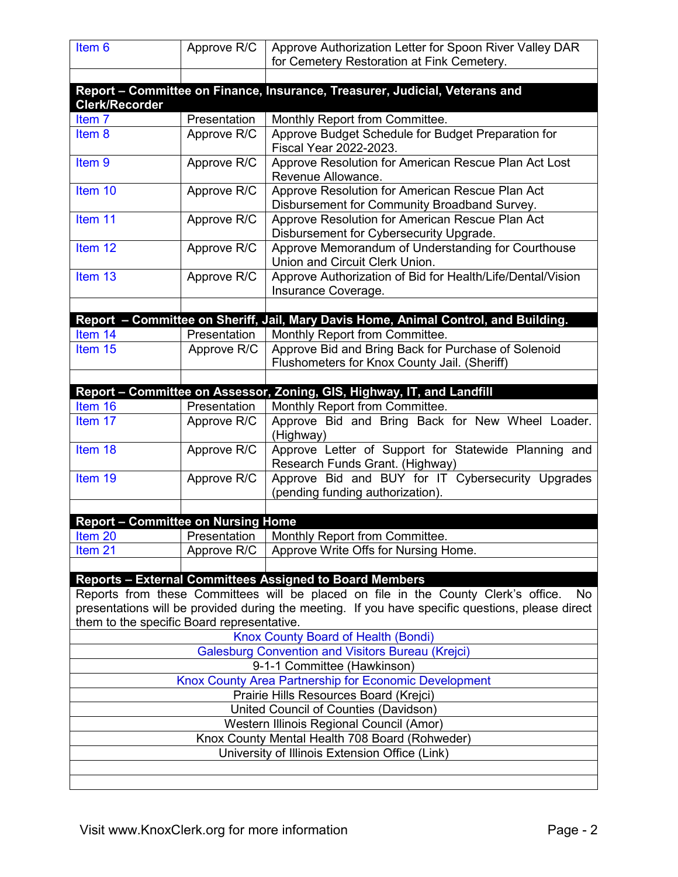| Item <sub>6</sub>                                                                                                                              | Approve R/C  | Approve Authorization Letter for Spoon River Valley DAR<br>for Cemetery Restoration at Fink Cemetery.    |  |  |
|------------------------------------------------------------------------------------------------------------------------------------------------|--------------|----------------------------------------------------------------------------------------------------------|--|--|
|                                                                                                                                                |              |                                                                                                          |  |  |
|                                                                                                                                                |              | Report - Committee on Finance, Insurance, Treasurer, Judicial, Veterans and                              |  |  |
| <b>Clerk/Recorder</b>                                                                                                                          |              |                                                                                                          |  |  |
| Item 7                                                                                                                                         | Presentation | Monthly Report from Committee.                                                                           |  |  |
| Item 8                                                                                                                                         | Approve R/C  | Approve Budget Schedule for Budget Preparation for<br>Fiscal Year 2022-2023.                             |  |  |
| Item <sub>9</sub>                                                                                                                              | Approve R/C  | Approve Resolution for American Rescue Plan Act Lost<br>Revenue Allowance.                               |  |  |
| Item 10                                                                                                                                        | Approve R/C  | Approve Resolution for American Rescue Plan Act<br>Disbursement for Community Broadband Survey.          |  |  |
| Item 11                                                                                                                                        | Approve R/C  | Approve Resolution for American Rescue Plan Act<br>Disbursement for Cybersecurity Upgrade.               |  |  |
| Item <sub>12</sub>                                                                                                                             | Approve R/C  | Approve Memorandum of Understanding for Courthouse<br>Union and Circuit Clerk Union.                     |  |  |
| Item <sub>13</sub>                                                                                                                             | Approve R/C  | Approve Authorization of Bid for Health/Life/Dental/Vision<br>Insurance Coverage.                        |  |  |
|                                                                                                                                                |              |                                                                                                          |  |  |
|                                                                                                                                                |              | Report - Committee on Sheriff, Jail, Mary Davis Home, Animal Control, and Building.                      |  |  |
| Item 14                                                                                                                                        | Presentation | Monthly Report from Committee.                                                                           |  |  |
| Item 15                                                                                                                                        | Approve R/C  | Approve Bid and Bring Back for Purchase of Solenoid<br>Flushometers for Knox County Jail. (Sheriff)      |  |  |
|                                                                                                                                                |              |                                                                                                          |  |  |
| Item 16                                                                                                                                        | Presentation | Report - Committee on Assessor, Zoning, GIS, Highway, IT, and Landfill<br>Monthly Report from Committee. |  |  |
| Item 17                                                                                                                                        | Approve R/C  | Approve Bid and Bring Back for New Wheel Loader.<br>(Highway)                                            |  |  |
| Item 18                                                                                                                                        | Approve R/C  | Approve Letter of Support for Statewide Planning and<br>Research Funds Grant. (Highway)                  |  |  |
| Item 19                                                                                                                                        | Approve R/C  | Approve Bid and BUY for IT Cybersecurity Upgrades<br>(pending funding authorization).                    |  |  |
|                                                                                                                                                |              |                                                                                                          |  |  |
| <b>Report - Committee on Nursing Home</b>                                                                                                      |              |                                                                                                          |  |  |
| Item 20                                                                                                                                        | Presentation | Monthly Report from Committee.                                                                           |  |  |
| Item <sub>21</sub>                                                                                                                             | Approve R/C  | Approve Write Offs for Nursing Home.                                                                     |  |  |
|                                                                                                                                                |              |                                                                                                          |  |  |
|                                                                                                                                                |              | <b>Reports - External Committees Assigned to Board Members</b>                                           |  |  |
| Reports from these Committees will be placed on file in the County Clerk's office.<br>No                                                       |              |                                                                                                          |  |  |
| presentations will be provided during the meeting. If you have specific questions, please direct<br>them to the specific Board representative. |              |                                                                                                          |  |  |
| Knox County Board of Health (Bondi)                                                                                                            |              |                                                                                                          |  |  |
| <b>Galesburg Convention and Visitors Bureau (Krejci)</b>                                                                                       |              |                                                                                                          |  |  |
| 9-1-1 Committee (Hawkinson)                                                                                                                    |              |                                                                                                          |  |  |
| Knox County Area Partnership for Economic Development                                                                                          |              |                                                                                                          |  |  |
| Prairie Hills Resources Board (Krejci)                                                                                                         |              |                                                                                                          |  |  |
| United Council of Counties (Davidson)                                                                                                          |              |                                                                                                          |  |  |
| Western Illinois Regional Council (Amor)                                                                                                       |              |                                                                                                          |  |  |
| Knox County Mental Health 708 Board (Rohweder)                                                                                                 |              |                                                                                                          |  |  |
|                                                                                                                                                |              | University of Illinois Extension Office (Link)                                                           |  |  |
|                                                                                                                                                |              |                                                                                                          |  |  |
|                                                                                                                                                |              |                                                                                                          |  |  |